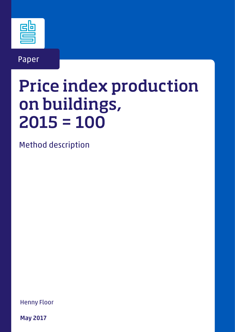

Paper

# Price index production on buildings, 2015 = 100

Method description

Henny Floor

May 2017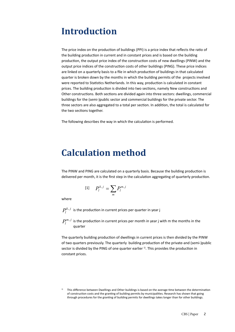## **Introduction Introduction**

The price index on the production of buildings (PPI) is a price index that reflects the ratio of the building production in current and in constant prices and is based on the building production, the output price index of the construction costs of new dwellings (PINW) and the output price indices of the construction costs of other buildings (PING). These price indices are linked on a reliable on a reliable on a reliable on a reliable on a reliable on a reliable on a reliable on a reliable on a are linked on a quarterly basis to a file in which production of buildings in that calculated quarter is broken down by the months in which the building permits of the projects involved quarter is broken down by the months in which the building permits of the projects involved were reported to Statistics Netherlands. In this way, production is calculated in constant prices. The building production is divided into two sections, namely New constructions and Other constructions. Both sections are divided again into three sectors: dwellings, commercial buildings for the (semi-)public sector and commercial buildings for the private sector. The three sectors are also aggregated to a total per section. In addition, the total is calculated for<br>... the two sections together. The private sector and commercial buildings for the private sectors are also sections are also sectors are also sectors are also sectors are also sectors are also sectors are also sectors are als  $\alpha$  to a total per section, the total per section, the two sections  $\alpha$ The price index on the production of buildings (PPI) is a price index that reflects the ratio of the building<br>the building production in current and in constant prices and is based on the building production, the output price index of the construction costs of new dwellings (PINW) and the output price indices of the construction costs of other buildings (PING). These price indices quarter is broken down by the months in which the building permits of the projects involved were reported to Statistics Netherlands. In this way, production is calculated in constant prices. The building production is divided into two sections, namely new constructions and<br>Other constructions. Both sections are divided again into three sectors: dwellings, commercial buildings for the (semi-)public sector and commercial buildings for the private sector. The three sectors are also aggregated to a total per section. In addition, the total is calculated for are inneed on a quarterly basis to a life in which production or buildings in that calculated  $q$  a file in the file in  $q$  file in the production of  $\frac{1}{q}$  is broken production of building in that calculated in constant the two sections together.

The following describes the way in which the calculation is performed. the followi The following describes the way in which the calculation is performed

### **Calculation method Calculation method**

The PINW and PING are calculated on a quarterly basis. Because the building production is The PINW and PING are calculated on a quarterly basis. Because the building production is delivered per month, it is the first step in the calculation aggregating of quarterly production. delivered per month, it is the first step in the calculation aggregating of quarterly production. The PINW and PING are calculated on a quarterly basis. Because the building production is delivered per month, it is the first step in the calculation aggregating of quarterly production.

$$
[1] \quad P_l^{k,j} = \sum_m P_l^{m,j}
$$

where where

 $P_{i}^{k,j}$  is the production in current prices per quarter in year *j*  $P_l^{k,j}$  is the production in current prices per quarter in year *j*  $P_l^{\mu,\mu}$  is the production in current prices per quarter in year *j* 

 $P_i^{m,j}$  is the production in current prices per month in year j with m the months in the quarter *<sup>m</sup> <sup>j</sup> Pl* , is the production in current prices per month in year *j* with *m* the months in the quarter  $T_{\text{max}}$  of dwellings in current production of dwellings in current prices is then divided by the PINW of divided by the PINW of divided by the PINW of divided by the PINW of divided by the PINW of divided by the PINW of  $P_l^{m,j}$  is the production in current prices per month in year j with m the months in the

The quarterly building production of dwellings in current prices is then divided by the PINW of two quarters previously. The quarterly building production of the private-and (semi-)public sector is divided by the PING of one quarter earlier<sup>1)</sup>. This provides the production in constant prices. prices. The quarterly building production of dwellings in current prices is then divided by the PINW of the quarters previously. The quarterly building production of the private and (semi-)public<br>sector is divided by the PING of one quarter earlier<sup>1)</sup>. This provides the production in

<sup>&</sup>lt;sup>1)</sup> This difference between Dwellings and Other buildings is based on the average time between the determination<br>1) of construction costs and the granting of building permits by municinalities. Research has shown that goi of construction costs and the granting of building permits by municipalities. Research has shown that going the production of the sector Dwellings in the production of building a sector Dwellings in a year of the sector Dw of construction costs and the granting of building permits by municipalities. Research has shown that going<br>through procedures for the granting of building permits for dwellings takes longer than for other buildings.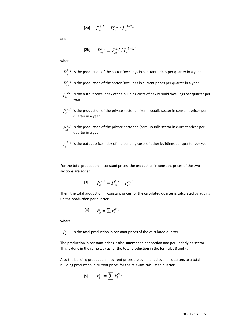$$
[2a] \t P_{cw}^{k,j} = P_{lw}^{k,j} / I_w^{k-2,j}
$$

and

$$
[2b] \t P_{co}^{k,j} = P_{lo}^{k,j} / I_o^{k-1,j}
$$

where  $\overline{a}$ 

*<sup>k</sup> <sup>j</sup> Pcw*

*k* is the production of the sector Dwellings in constant prices per quarter in a year  $P_{cw}^{k,j}$  is the production of the sector Dwellings in constant prices per quarter in a year  $k \neq 0$  $P_{cw}^{0.9}$  is the production of the sector Dwellings in constant prices per quarter in a year

- $P_{lw}^{k,j}$  is the production of the sector Dwellings in current prices per quarter in a year
- $I_w^{k,j}$  is the output price index of the building costs of newly build dwellings per quarter per year *k j k j* construction costs and the granting permits by municipalities. Research has shown that going the going through  $\alpha$ 1 his difference between Dwellings and Other buildings is based on the average time between the determination of the determination of the average time between the determination of the average time between the determination  $I_w^{k,j}$  is the output price index of the building costs of newly build dwellings per quarter per year **w**I , is the output price index of the building costs of the building costs of new lyings per quarter per quarter per  $\mathbf{r}$
- is the production of the private sector en (semi-)public sector in constant prices per quarter in a year in a year in a year *<sup>k</sup> <sup>j</sup> Pco* year *<sup>k</sup> <sup>j</sup> Pco* procedures for the granting of building permits for dwellings takes longer than for other buildings. construction costs and the granting of building permits by municipalities. Research has shown that going through  $P_{co}^{k,j}$  is the production of the private sector en (semi-)public sector in constant prices per  $P_{co}^{k,j}$  is the production of the private sector en (semi-)public sector in constant prices per quarter in a vear procedures for the granting of building permits for dwellings takes longer than for other buildings. quarter in a year  $q$  $P_{co}^{n,j}$  is the production of the private sector en (semi-)public sector in constant prices per quarter in a vear year<br>Galeria  $\frac{p}{p}$   $\frac{p}{p}$  is the production of the private sector en (semi-)public sector in constant prices per quarter in a year  $\frac{1}{2}$ *k pco*, is the production of the production of the private sector end (see Fig. ). oduc  $\alpha$  is the production of the private sector energy energy energy per quarter in constant prior prices per quarter per quarter per quarter per quarter per quarter per quarter per quarter per quarter per quarter per quarte  $P^{k,j}$  is the production of the private sector en (semi-)public sector in constant prices per  $\alpha$  is the production of the private sector energy  $\alpha$  is the private per quarter in constant prices per quarter per quarter per quarter per quarter per quarter per quarter per quarter per quarter per quarter per quarte
- is the production of the private sector en (semi-)public sector in current prices per quarter in a year in a year in a year *<sup>k</sup> <sup>j</sup> Plo*  $P_{l_2}^{k,j}$  is the production of the private sector en (semi-)public sector in current prices per  $P_{lo}^{k,j}$  is the production of the private sector en (semi-)public sector in current prices per in a year  $P_{lo}^{n,j}$  is the production of the private sector en (semi-)public sector in current prices per quarter in a vear iduction o , is the production of the private sector energy  $\alpha$  is the private sector in current private per  $\alpha$ aduction e *<sup>k</sup> <sup>j</sup> Plo* in a year *<sup>k</sup> <sup>j</sup> Plo* , is the production of the private sector en (semi-)public sector in current prices per  $q$  $P^{k,j}$  is the production of the private sector on (semi-)public sector in current prices per  $P^{k,j}$ arter in a year  $\frac{1}{2}$  production of the private sector in current private per quarter in current private per quarter in current prices per quarter in current prices per quarter in current private per quarter in curren

 $I_o^{\phantom{ab}k,j}$  is the output price index of the building costs of other buildings per quarter per year is the output price index of the building costs of other buildings per quarter per year *<sup>k</sup> <sup>j</sup> Plo* ine output is the output price index of the building costs of other buildings per quarter per year

For the total production in constant prices, the production in constant prices of the two sections are added. *<sup>k</sup> <sup>j</sup> Pc P P* , , , = + *<sup>k</sup> <sup>j</sup> Pc P P* , , , = + [3] *<sup>k</sup> <sup>j</sup>*

$$
[3] \t P_c^{k,j} = P_{cw}^{k,j} + P_{co}^{k,j}
$$

Then, the total production in constant prices for the calculated quarter is calculated by adding up the production per quarter:<br>up the production per quarter: hen, the total production in constar hen, the total production in constant prices for the calculated quarter is calculated by adding up the production per quarter:

$$
[4] \qquad P_c = \sum P_c^{k,j}
$$

where **Pc** is the total production in constant production in constant production in constant production in  $\mathcal{P}$ **Pc** is the total production in constant production in constant production in constant production in  $\mathcal{P}$ **Pc** is the total production in constant production in constant production in constant production in constant production in  $\mathcal{P}(\mathcal{P})$ **Pc** is the total production in constant production in constant production in constant production in  $\mathcal{P}$ 

 $P_{c}$  is the total production in constant prices of the calculated quarter  $\overline{c}$  is also summoned per section in constant per section and per section and per underlying sector. This is also summoned per section and per section and per section and per section and per sector. This is also secto  $P_{c}\hspace{0.1cm}$  is the total production in constant prices of the calculated quarter

The production in constant prices is also summoned per section and per underlying sector. This is done in the same way as for the total production in the formulas 3 and 4. he production in constant prices is also summoned per section and per underlying sector. The production in constant production in constant prices is also summoned per section and per underlying sector. This is also summoned per section and per underlying section and per underlying sector. This is also sector. oduction in constant prices is also summoned per section and per underlying sector. is done in the same way as for the total production in the formulas 3 and 4. The production in constant prices is also summoned per section and per underlying sector. This but the formulation in the same way as formulation in the formula per underlying sector.

The production in constant production is also summoned per section and per section and per underlying sector. This is also summoned per section and per underlying section and per underlying sector. This is also sector. Th

Also the building production in current prices are summoned over all quarters to a total building production in current prices for the relevant calculated quarter.<br>→ → *k i Pl Pl i i i i i i k i l n i i k i l i i k i l i i k i l i i k i l i* llso the building production in current prices are summoned over all quarters to a total Also the building production in current prices are summoned over all quarters to a total building Also the building production in current prices are summoned over all quarters to a total building is the salarity production in carrent prices are salifficially over all quarters to a total<br>utilding production in current prices for the relevant calculated quarter production in current prices for the relevant calculated quarter.

$$
P_l = \sum P_l^{k,j}
$$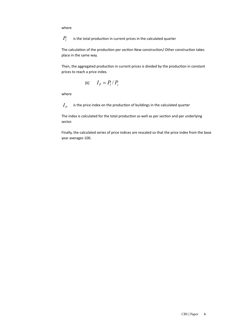where

is the total production in current prices in the calculated quarter is the total production in current prices in the calculated quarter is the total production in current prices in the calculated quarter *Pl Pl*

The calculation of the production per section New construction/ Other construction takes place in the same way. The calculation of the production  $\mathbf{p}$  is the production of the production of the production of the production of the production of the production of the production of the production takes places The calculation of the production  $\mathcal{L}_\text{c}$  and  $\mathcal{L}_\text{c}$  construction takes places places places places places places places places places places places places places places places places places places places pla The calculation of the production per section New construction/ Other construction takes place. The production of the place place place place place in the came way.

Then, the aggregated production in current prices is divided by the production in constant Then, the aggregated production in current prices is divided by the production in constant prices to reach a price index.

$$
[6] \qquad I_P = P_l / P_c
$$

where

 $I_{\scriptscriptstyle P}$  is the price index on the production of buildings in the calculated quarter

The index is calculated for the total production as well as per section and per underlying<br>sector sector. Finally, the calculated series of price indices are rescaled so that the price index from the price index from the base

Finally, the calculated series of price indices are rescaled so that the price index from the base year averages 100. year averages 100. year averages 100.